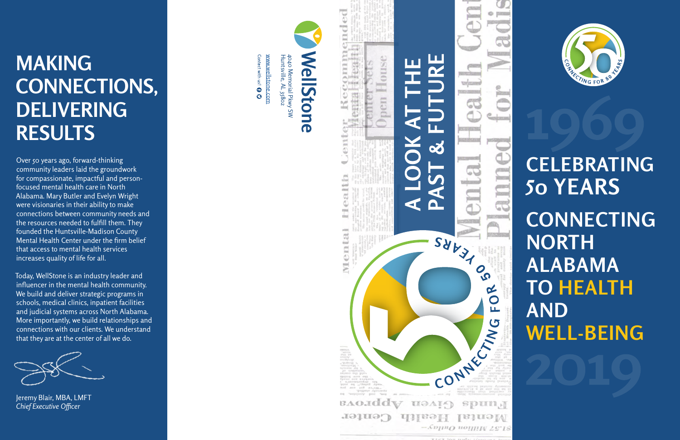

[www.wellstone.com](http://www.wellstone.com)

Contect with us!  $\mathbf 0$   $\mathbf C$ www.wellstone.com Huntsville, AL 35802 4040 Memorial Pkwy SW

4040 Memorial Pkwy SW<br>Huntsville, AL 35802



## **MAKING CONNECTIONS, DELIVERING RESULTS**

Over 50 years ago, forward-thinking community leaders laid the groundwork for compassionate, impactful and personfocused mental health care in North Alabama. Mary Butler and Evelyn Wright were visionaries in their ability to make connections between community needs and the resources needed to fulfill them. They founded the Huntsville-Madison County Mental Health Center under the firm belief that access to mental health services increases quality of life for all.

# **1st Home of the Mental Health Center was on 218 Randolph Avenue in 1978 CONNECTING NORTH ALABAMA TO HEALTH AND WELL-BEING**

Today, WellStone is an industry leader and influencer in the mental health community. We build and deliver strategic programs in schools, medical clinics, inpatient facilities and judicial systems across North Alabama. More importantly, we build relationships and connections with our clients. We understand that they are at the center of all we do.

# **CELEBRATING 50 YEARS**



Jeremy Blair, MBA, LMFT *Chief Executive Officer*